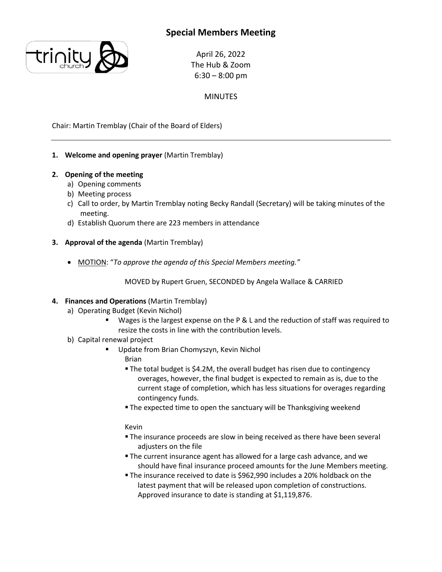# **Special Members Meeting**



April 26, 2022 The Hub & Zoom  $6:30 - 8:00$  pm

## MINUTES

Chair: Martin Tremblay (Chair of the Board of Elders)

### **1. Welcome and opening prayer** (Martin Tremblay)

- **2. Opening of the meeting**
	- a) Opening comments
	- b) Meeting process
	- c) Call to order, by Martin Tremblay noting Becky Randall (Secretary) will be taking minutes of the meeting.
	- d) Establish Quorum there are 223 members in attendance
- **3. Approval of the agenda** (Martin Tremblay)
	- MOTION: "*To approve the agenda of this Special Members meeting."*

#### MOVED by Rupert Gruen, SECONDED by Angela Wallace & CARRIED

#### **4. Finances and Operations** (Martin Tremblay)

- a) Operating Budget (Kevin Nichol)
	- Wages is the largest expense on the P & L and the reduction of staff was required to resize the costs in line with the contribution levels.
- b) Capital renewal project
	- Update from Brian Chomyszyn, Kevin Nichol Brian
		- The total budget is \$4.2M, the overall budget has risen due to contingency overages, however, the final budget is expected to remain as is, due to the current stage of completion, which has less situations for overages regarding contingency funds.
		- The expected time to open the sanctuary will be Thanksgiving weekend

#### Kevin

- **The insurance proceeds are slow in being received as there have been several** adjusters on the file
- The current insurance agent has allowed for a large cash advance, and we should have final insurance proceed amounts for the June Members meeting.
- The insurance received to date is \$962,990 includes a 20% holdback on the latest payment that will be released upon completion of constructions. Approved insurance to date is standing at \$1,119,876.